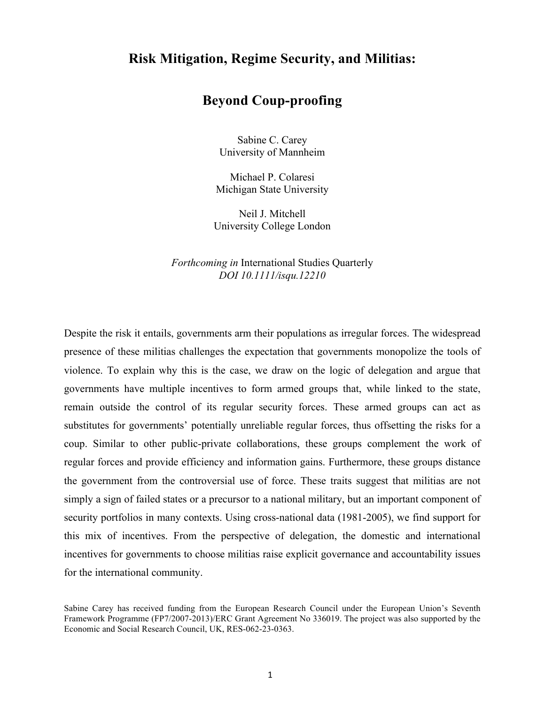## **Risk Mitigation, Regime Security, and Militias:**

# **Beyond Coup-proofing**

Sabine C. Carey University of Mannheim

Michael P. Colaresi Michigan State University

Neil J. Mitchell University College London

*Forthcoming in* International Studies Quarterly *DOI 10.1111/isqu.12210*

Despite the risk it entails, governments arm their populations as irregular forces. The widespread presence of these militias challenges the expectation that governments monopolize the tools of violence. To explain why this is the case, we draw on the logic of delegation and argue that governments have multiple incentives to form armed groups that, while linked to the state, remain outside the control of its regular security forces. These armed groups can act as substitutes for governments' potentially unreliable regular forces, thus offsetting the risks for a coup. Similar to other public-private collaborations, these groups complement the work of regular forces and provide efficiency and information gains. Furthermore, these groups distance the government from the controversial use of force. These traits suggest that militias are not simply a sign of failed states or a precursor to a national military, but an important component of security portfolios in many contexts. Using cross-national data (1981-2005), we find support for this mix of incentives. From the perspective of delegation, the domestic and international incentives for governments to choose militias raise explicit governance and accountability issues for the international community.

Sabine Carey has received funding from the European Research Council under the European Union's Seventh Framework Programme (FP7/2007-2013)/ERC Grant Agreement No 336019. The project was also supported by the Economic and Social Research Council, UK, RES-062-23-0363.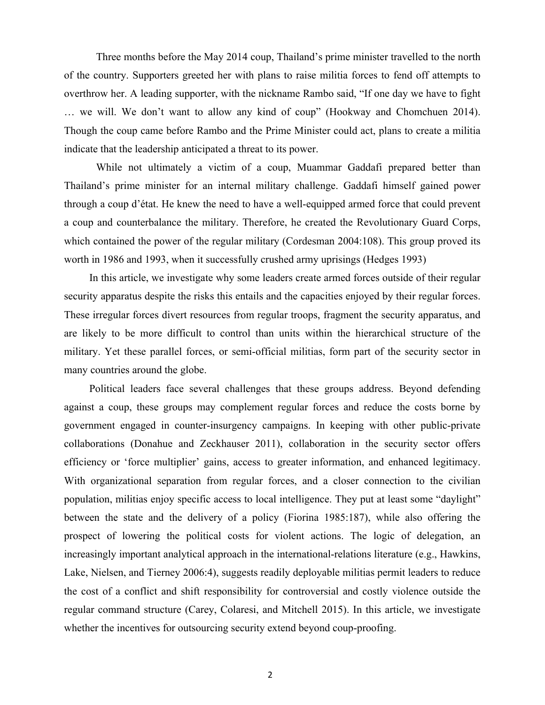Three months before the May 2014 coup, Thailand's prime minister travelled to the north of the country. Supporters greeted her with plans to raise militia forces to fend off attempts to overthrow her. A leading supporter, with the nickname Rambo said, "If one day we have to fight … we will. We don't want to allow any kind of coup" (Hookway and Chomchuen 2014). Though the coup came before Rambo and the Prime Minister could act, plans to create a militia indicate that the leadership anticipated a threat to its power.

While not ultimately a victim of a coup, Muammar Gaddafi prepared better than Thailand's prime minister for an internal military challenge. Gaddafi himself gained power through a coup d'état. He knew the need to have a well-equipped armed force that could prevent a coup and counterbalance the military. Therefore, he created the Revolutionary Guard Corps, which contained the power of the regular military (Cordesman 2004:108). This group proved its worth in 1986 and 1993, when it successfully crushed army uprisings (Hedges 1993)

In this article, we investigate why some leaders create armed forces outside of their regular security apparatus despite the risks this entails and the capacities enjoyed by their regular forces. These irregular forces divert resources from regular troops, fragment the security apparatus, and are likely to be more difficult to control than units within the hierarchical structure of the military. Yet these parallel forces, or semi-official militias, form part of the security sector in many countries around the globe.

Political leaders face several challenges that these groups address. Beyond defending against a coup, these groups may complement regular forces and reduce the costs borne by government engaged in counter-insurgency campaigns. In keeping with other public-private collaborations (Donahue and Zeckhauser 2011), collaboration in the security sector offers efficiency or 'force multiplier' gains, access to greater information, and enhanced legitimacy. With organizational separation from regular forces, and a closer connection to the civilian population, militias enjoy specific access to local intelligence. They put at least some "daylight" between the state and the delivery of a policy (Fiorina 1985:187), while also offering the prospect of lowering the political costs for violent actions. The logic of delegation, an increasingly important analytical approach in the international-relations literature (e.g., Hawkins, Lake, Nielsen, and Tierney 2006:4), suggests readily deployable militias permit leaders to reduce the cost of a conflict and shift responsibility for controversial and costly violence outside the regular command structure (Carey, Colaresi, and Mitchell 2015). In this article, we investigate whether the incentives for outsourcing security extend beyond coup-proofing.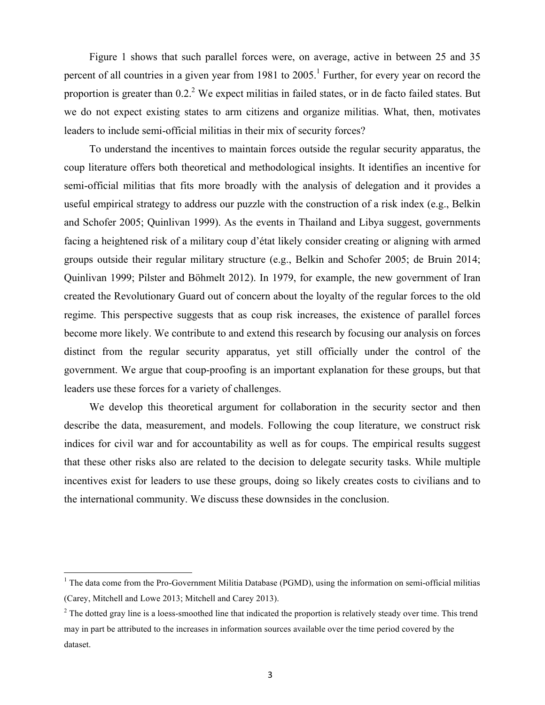Figure 1 shows that such parallel forces were, on average, active in between 25 and 35 percent of all countries in a given year from 1981 to  $2005$ .<sup>1</sup> Further, for every year on record the proportion is greater than  $0.2<sup>2</sup>$  We expect militias in failed states, or in de facto failed states. But we do not expect existing states to arm citizens and organize militias. What, then, motivates leaders to include semi-official militias in their mix of security forces?

To understand the incentives to maintain forces outside the regular security apparatus, the coup literature offers both theoretical and methodological insights. It identifies an incentive for semi-official militias that fits more broadly with the analysis of delegation and it provides a useful empirical strategy to address our puzzle with the construction of a risk index (e.g., Belkin and Schofer 2005; Quinlivan 1999). As the events in Thailand and Libya suggest, governments facing a heightened risk of a military coup d'état likely consider creating or aligning with armed groups outside their regular military structure (e.g., Belkin and Schofer 2005; de Bruin 2014; Quinlivan 1999; Pilster and Böhmelt 2012). In 1979, for example, the new government of Iran created the Revolutionary Guard out of concern about the loyalty of the regular forces to the old regime. This perspective suggests that as coup risk increases, the existence of parallel forces become more likely. We contribute to and extend this research by focusing our analysis on forces distinct from the regular security apparatus, yet still officially under the control of the government. We argue that coup-proofing is an important explanation for these groups, but that leaders use these forces for a variety of challenges.

We develop this theoretical argument for collaboration in the security sector and then describe the data, measurement, and models. Following the coup literature, we construct risk indices for civil war and for accountability as well as for coups. The empirical results suggest that these other risks also are related to the decision to delegate security tasks. While multiple incentives exist for leaders to use these groups, doing so likely creates costs to civilians and to the international community. We discuss these downsides in the conclusion.

<sup>&</sup>lt;sup>1</sup> The data come from the Pro-Government Militia Database (PGMD), using the information on semi-official militias (Carey, Mitchell and Lowe 2013; Mitchell and Carey 2013).

<sup>&</sup>lt;sup>2</sup> The dotted gray line is a loess-smoothed line that indicated the proportion is relatively steady over time. This trend may in part be attributed to the increases in information sources available over the time period covered by the dataset.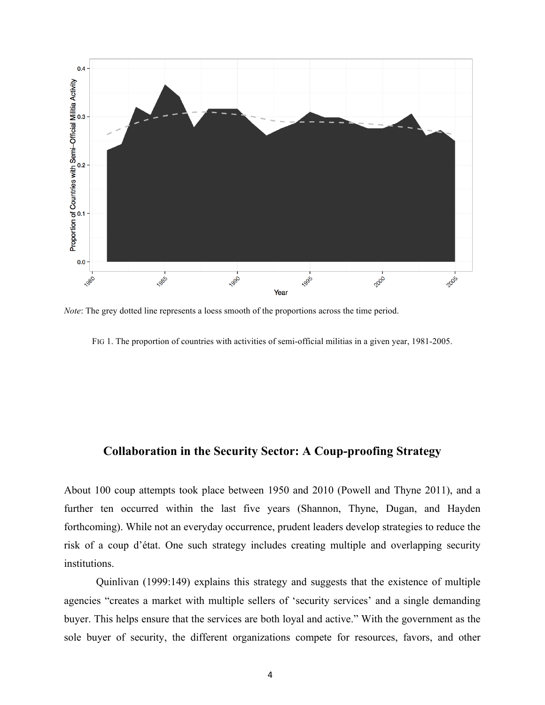

*Note*: The grey dotted line represents a loess smooth of the proportions across the time period.

FIG 1. The proportion of countries with activities of semi-official militias in a given year, 1981-2005.

### **Collaboration in the Security Sector: A Coup-proofing Strategy**

About 100 coup attempts took place between 1950 and 2010 (Powell and Thyne 2011), and a further ten occurred within the last five years (Shannon, Thyne, Dugan, and Hayden forthcoming). While not an everyday occurrence, prudent leaders develop strategies to reduce the risk of a coup d'état. One such strategy includes creating multiple and overlapping security institutions.

Quinlivan (1999:149) explains this strategy and suggests that the existence of multiple agencies "creates a market with multiple sellers of 'security services' and a single demanding buyer. This helps ensure that the services are both loyal and active." With the government as the sole buyer of security, the different organizations compete for resources, favors, and other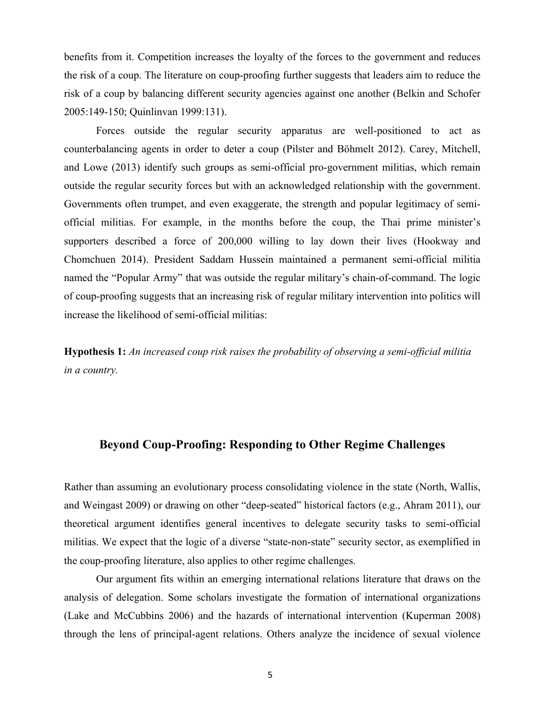benefits from it. Competition increases the loyalty of the forces to the government and reduces the risk of a coup. The literature on coup-proofing further suggests that leaders aim to reduce the risk of a coup by balancing different security agencies against one another (Belkin and Schofer 2005:149-150; Quinlinvan 1999:131).

Forces outside the regular security apparatus are well-positioned to act as counterbalancing agents in order to deter a coup (Pilster and Böhmelt 2012). Carey, Mitchell, and Lowe (2013) identify such groups as semi-official pro-government militias, which remain outside the regular security forces but with an acknowledged relationship with the government. Governments often trumpet, and even exaggerate, the strength and popular legitimacy of semiofficial militias. For example, in the months before the coup, the Thai prime minister's supporters described a force of 200,000 willing to lay down their lives (Hookway and Chomchuen 2014). President Saddam Hussein maintained a permanent semi-official militia named the "Popular Army" that was outside the regular military's chain-of-command. The logic of coup-proofing suggests that an increasing risk of regular military intervention into politics will increase the likelihood of semi-official militias:

**Hypothesis 1:** *An increased coup risk raises the probability of observing a semi-official militia in a country.*

## **Beyond Coup-Proofing: Responding to Other Regime Challenges**

Rather than assuming an evolutionary process consolidating violence in the state (North, Wallis, and Weingast 2009) or drawing on other "deep-seated" historical factors (e.g., Ahram 2011), our theoretical argument identifies general incentives to delegate security tasks to semi-official militias. We expect that the logic of a diverse "state-non-state" security sector, as exemplified in the coup-proofing literature, also applies to other regime challenges.

Our argument fits within an emerging international relations literature that draws on the analysis of delegation. Some scholars investigate the formation of international organizations (Lake and McCubbins 2006) and the hazards of international intervention (Kuperman 2008) through the lens of principal-agent relations. Others analyze the incidence of sexual violence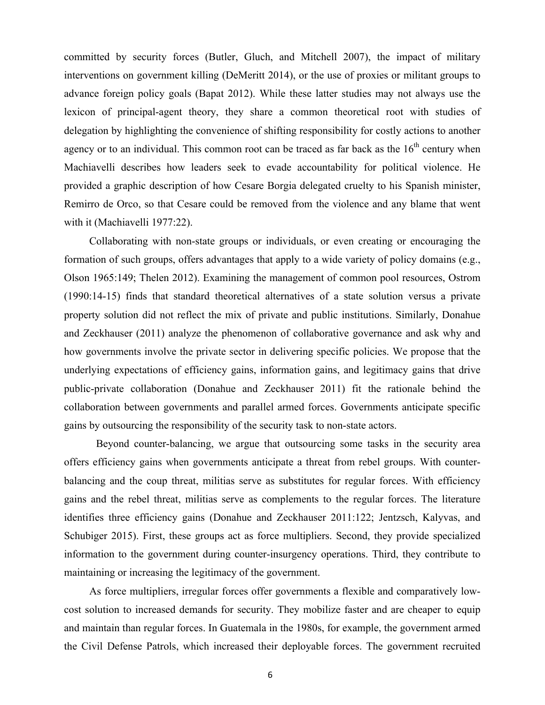committed by security forces (Butler, Gluch, and Mitchell 2007), the impact of military interventions on government killing (DeMeritt 2014), or the use of proxies or militant groups to advance foreign policy goals (Bapat 2012). While these latter studies may not always use the lexicon of principal-agent theory, they share a common theoretical root with studies of delegation by highlighting the convenience of shifting responsibility for costly actions to another agency or to an individual. This common root can be traced as far back as the  $16<sup>th</sup>$  century when Machiavelli describes how leaders seek to evade accountability for political violence. He provided a graphic description of how Cesare Borgia delegated cruelty to his Spanish minister, Remirro de Orco, so that Cesare could be removed from the violence and any blame that went with it (Machiavelli 1977:22).

Collaborating with non-state groups or individuals, or even creating or encouraging the formation of such groups, offers advantages that apply to a wide variety of policy domains (e.g., Olson 1965:149; Thelen 2012). Examining the management of common pool resources, Ostrom (1990:14-15) finds that standard theoretical alternatives of a state solution versus a private property solution did not reflect the mix of private and public institutions. Similarly, Donahue and Zeckhauser (2011) analyze the phenomenon of collaborative governance and ask why and how governments involve the private sector in delivering specific policies. We propose that the underlying expectations of efficiency gains, information gains, and legitimacy gains that drive public-private collaboration (Donahue and Zeckhauser 2011) fit the rationale behind the collaboration between governments and parallel armed forces. Governments anticipate specific gains by outsourcing the responsibility of the security task to non-state actors.

Beyond counter-balancing, we argue that outsourcing some tasks in the security area offers efficiency gains when governments anticipate a threat from rebel groups. With counterbalancing and the coup threat, militias serve as substitutes for regular forces. With efficiency gains and the rebel threat, militias serve as complements to the regular forces. The literature identifies three efficiency gains (Donahue and Zeckhauser 2011:122; Jentzsch, Kalyvas, and Schubiger 2015). First, these groups act as force multipliers. Second, they provide specialized information to the government during counter-insurgency operations. Third, they contribute to maintaining or increasing the legitimacy of the government.

As force multipliers, irregular forces offer governments a flexible and comparatively lowcost solution to increased demands for security. They mobilize faster and are cheaper to equip and maintain than regular forces. In Guatemala in the 1980s, for example, the government armed the Civil Defense Patrols, which increased their deployable forces. The government recruited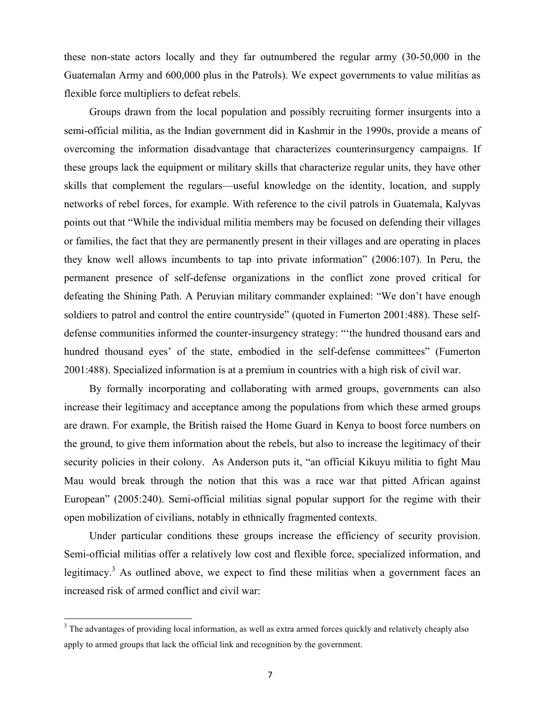these non-state actors locally and they far outnumbered the regular army (30-50,000 in the Guatemalan Army and 600,000 plus in the Patrols). We expect governments to value militias as flexible force multipliers to defeat rebels.

Groups drawn from the local population and possibly recruiting former insurgents into a semi-official militia, as the Indian government did in Kashmir in the 1990s, provide a means of overcoming the information disadvantage that characterizes counterinsurgency campaigns. If these groups lack the equipment or military skills that characterize regular units, they have other skills that complement the regulars—useful knowledge on the identity, location, and supply networks of rebel forces, for example. With reference to the civil patrols in Guatemala, Kalyvas points out that "While the individual militia members may be focused on defending their villages or families, the fact that they are permanently present in their villages and are operating in places they know well allows incumbents to tap into private information" (2006:107). In Peru, the permanent presence of self-defense organizations in the conflict zone proved critical for defeating the Shining Path. A Peruvian military commander explained: "We don't have enough soldiers to patrol and control the entire countryside" (quoted in Fumerton 2001:488). These selfdefense communities informed the counter-insurgency strategy: "'the hundred thousand ears and hundred thousand eyes' of the state, embodied in the self-defense committees" (Fumerton 2001:488). Specialized information is at a premium in countries with a high risk of civil war.

By formally incorporating and collaborating with armed groups, governments can also increase their legitimacy and acceptance among the populations from which these armed groups are drawn. For example, the British raised the Home Guard in Kenya to boost force numbers on the ground, to give them information about the rebels, but also to increase the legitimacy of their security policies in their colony. As Anderson puts it, "an official Kikuyu militia to fight Mau Mau would break through the notion that this was a race war that pitted African against European" (2005:240). Semi-official militias signal popular support for the regime with their open mobilization of civilians, notably in ethnically fragmented contexts.

Under particular conditions these groups increase the efficiency of security provision. Semi-official militias offer a relatively low cost and flexible force, specialized information, and legitimacy.<sup>3</sup> As outlined above, we expect to find these militias when a government faces an increased risk of armed conflict and civil war:

<sup>&</sup>lt;sup>3</sup> The advantages of providing local information, as well as extra armed forces quickly and relatively cheaply also apply to armed groups that lack the official link and recognition by the government.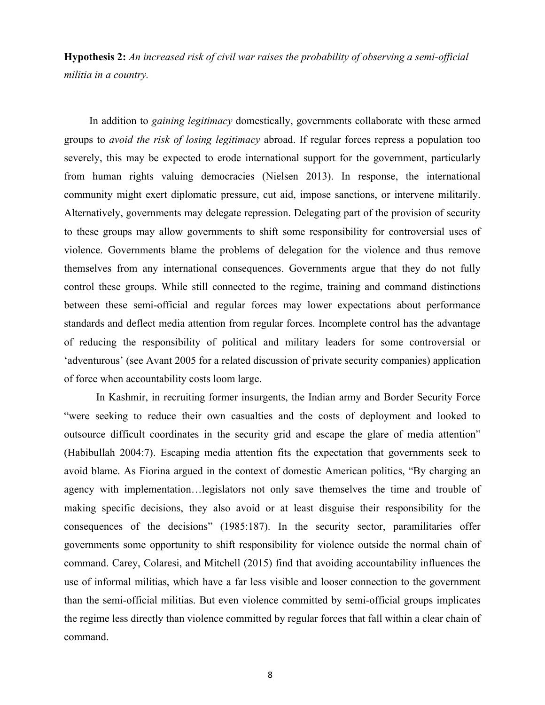**Hypothesis 2:** *An increased risk of civil war raises the probability of observing a semi-official militia in a country.*

In addition to *gaining legitimacy* domestically, governments collaborate with these armed groups to *avoid the risk of losing legitimacy* abroad. If regular forces repress a population too severely, this may be expected to erode international support for the government, particularly from human rights valuing democracies (Nielsen 2013). In response, the international community might exert diplomatic pressure, cut aid, impose sanctions, or intervene militarily. Alternatively, governments may delegate repression. Delegating part of the provision of security to these groups may allow governments to shift some responsibility for controversial uses of violence. Governments blame the problems of delegation for the violence and thus remove themselves from any international consequences. Governments argue that they do not fully control these groups. While still connected to the regime, training and command distinctions between these semi-official and regular forces may lower expectations about performance standards and deflect media attention from regular forces. Incomplete control has the advantage of reducing the responsibility of political and military leaders for some controversial or 'adventurous' (see Avant 2005 for a related discussion of private security companies) application of force when accountability costs loom large.

In Kashmir, in recruiting former insurgents, the Indian army and Border Security Force "were seeking to reduce their own casualties and the costs of deployment and looked to outsource difficult coordinates in the security grid and escape the glare of media attention" (Habibullah 2004:7). Escaping media attention fits the expectation that governments seek to avoid blame. As Fiorina argued in the context of domestic American politics, "By charging an agency with implementation…legislators not only save themselves the time and trouble of making specific decisions, they also avoid or at least disguise their responsibility for the consequences of the decisions" (1985:187). In the security sector, paramilitaries offer governments some opportunity to shift responsibility for violence outside the normal chain of command. Carey, Colaresi, and Mitchell (2015) find that avoiding accountability influences the use of informal militias, which have a far less visible and looser connection to the government than the semi-official militias. But even violence committed by semi-official groups implicates the regime less directly than violence committed by regular forces that fall within a clear chain of command.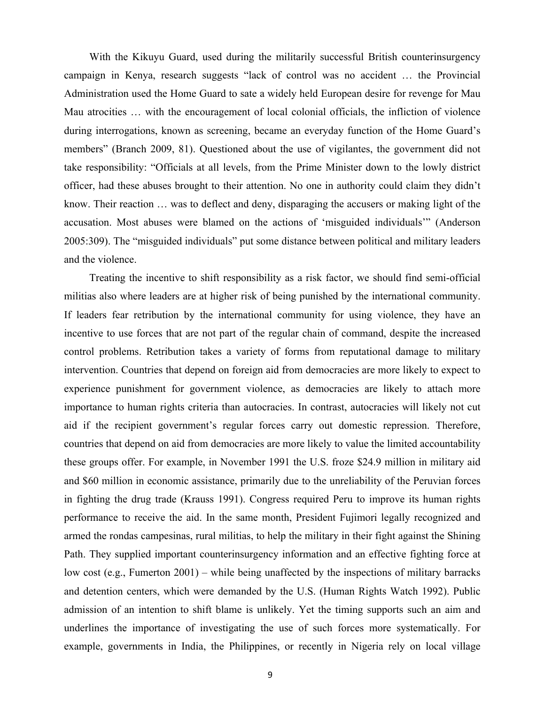With the Kikuyu Guard, used during the militarily successful British counterinsurgency campaign in Kenya, research suggests "lack of control was no accident … the Provincial Administration used the Home Guard to sate a widely held European desire for revenge for Mau Mau atrocities … with the encouragement of local colonial officials, the infliction of violence during interrogations, known as screening, became an everyday function of the Home Guard's members" (Branch 2009, 81). Questioned about the use of vigilantes, the government did not take responsibility: "Officials at all levels, from the Prime Minister down to the lowly district officer, had these abuses brought to their attention. No one in authority could claim they didn't know. Their reaction … was to deflect and deny, disparaging the accusers or making light of the accusation. Most abuses were blamed on the actions of 'misguided individuals'" (Anderson 2005:309). The "misguided individuals" put some distance between political and military leaders and the violence.

Treating the incentive to shift responsibility as a risk factor, we should find semi-official militias also where leaders are at higher risk of being punished by the international community. If leaders fear retribution by the international community for using violence, they have an incentive to use forces that are not part of the regular chain of command, despite the increased control problems. Retribution takes a variety of forms from reputational damage to military intervention. Countries that depend on foreign aid from democracies are more likely to expect to experience punishment for government violence, as democracies are likely to attach more importance to human rights criteria than autocracies. In contrast, autocracies will likely not cut aid if the recipient government's regular forces carry out domestic repression. Therefore, countries that depend on aid from democracies are more likely to value the limited accountability these groups offer. For example, in November 1991 the U.S. froze \$24.9 million in military aid and \$60 million in economic assistance, primarily due to the unreliability of the Peruvian forces in fighting the drug trade (Krauss 1991). Congress required Peru to improve its human rights performance to receive the aid. In the same month, President Fujimori legally recognized and armed the rondas campesinas, rural militias, to help the military in their fight against the Shining Path. They supplied important counterinsurgency information and an effective fighting force at low cost (e.g., Fumerton 2001) – while being unaffected by the inspections of military barracks and detention centers, which were demanded by the U.S. (Human Rights Watch 1992). Public admission of an intention to shift blame is unlikely. Yet the timing supports such an aim and underlines the importance of investigating the use of such forces more systematically. For example, governments in India, the Philippines, or recently in Nigeria rely on local village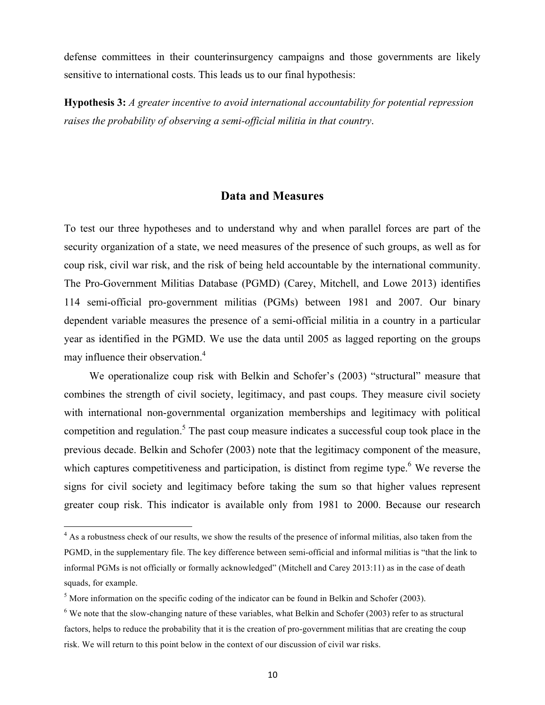defense committees in their counterinsurgency campaigns and those governments are likely sensitive to international costs. This leads us to our final hypothesis:

**Hypothesis 3:** *A greater incentive to avoid international accountability for potential repression raises the probability of observing a semi-official militia in that country*.

### **Data and Measures**

To test our three hypotheses and to understand why and when parallel forces are part of the security organization of a state, we need measures of the presence of such groups, as well as for coup risk, civil war risk, and the risk of being held accountable by the international community. The Pro-Government Militias Database (PGMD) (Carey, Mitchell, and Lowe 2013) identifies 114 semi-official pro-government militias (PGMs) between 1981 and 2007. Our binary dependent variable measures the presence of a semi-official militia in a country in a particular year as identified in the PGMD. We use the data until 2005 as lagged reporting on the groups may influence their observation.<sup>4</sup>

We operationalize coup risk with Belkin and Schofer's (2003) "structural" measure that combines the strength of civil society, legitimacy, and past coups. They measure civil society with international non-governmental organization memberships and legitimacy with political competition and regulation.<sup>5</sup> The past coup measure indicates a successful coup took place in the previous decade. Belkin and Schofer (2003) note that the legitimacy component of the measure, which captures competitiveness and participation, is distinct from regime type.<sup>6</sup> We reverse the signs for civil society and legitimacy before taking the sum so that higher values represent greater coup risk. This indicator is available only from 1981 to 2000. Because our research

<sup>&</sup>lt;sup>4</sup> As a robustness check of our results, we show the results of the presence of informal militias, also taken from the PGMD, in the supplementary file. The key difference between semi-official and informal militias is "that the link to informal PGMs is not officially or formally acknowledged" (Mitchell and Carey 2013:11) as in the case of death squads, for example.

 $<sup>5</sup>$  More information on the specific coding of the indicator can be found in Belkin and Schofer (2003).</sup>

 $6$  We note that the slow-changing nature of these variables, what Belkin and Schofer (2003) refer to as structural factors, helps to reduce the probability that it is the creation of pro-government militias that are creating the coup risk. We will return to this point below in the context of our discussion of civil war risks.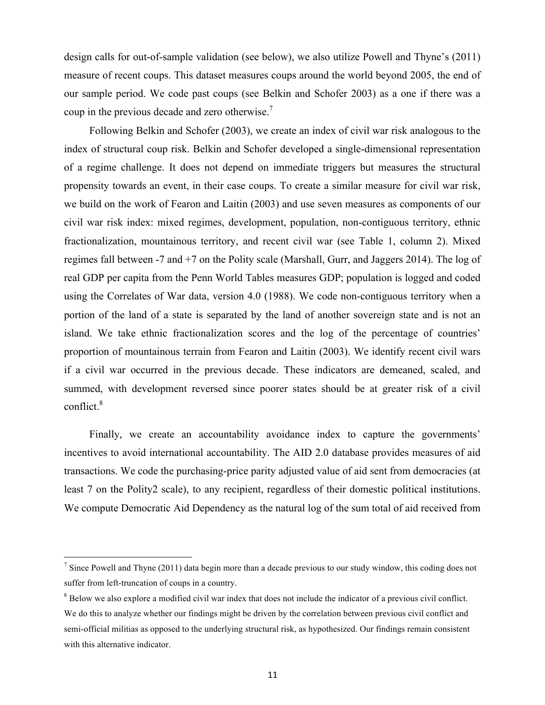design calls for out-of-sample validation (see below), we also utilize Powell and Thyne's (2011) measure of recent coups. This dataset measures coups around the world beyond 2005, the end of our sample period. We code past coups (see Belkin and Schofer 2003) as a one if there was a coup in the previous decade and zero otherwise.<sup>7</sup>

Following Belkin and Schofer (2003), we create an index of civil war risk analogous to the index of structural coup risk. Belkin and Schofer developed a single-dimensional representation of a regime challenge. It does not depend on immediate triggers but measures the structural propensity towards an event, in their case coups. To create a similar measure for civil war risk, we build on the work of Fearon and Laitin (2003) and use seven measures as components of our civil war risk index: mixed regimes, development, population, non-contiguous territory, ethnic fractionalization, mountainous territory, and recent civil war (see Table 1, column 2). Mixed regimes fall between -7 and +7 on the Polity scale (Marshall, Gurr, and Jaggers 2014). The log of real GDP per capita from the Penn World Tables measures GDP; population is logged and coded using the Correlates of War data, version 4.0 (1988). We code non-contiguous territory when a portion of the land of a state is separated by the land of another sovereign state and is not an island. We take ethnic fractionalization scores and the log of the percentage of countries' proportion of mountainous terrain from Fearon and Laitin (2003). We identify recent civil wars if a civil war occurred in the previous decade. These indicators are demeaned, scaled, and summed, with development reversed since poorer states should be at greater risk of a civil conflict.<sup>8</sup>

Finally, we create an accountability avoidance index to capture the governments' incentives to avoid international accountability. The AID 2.0 database provides measures of aid transactions. We code the purchasing-price parity adjusted value of aid sent from democracies (at least 7 on the Polity2 scale), to any recipient, regardless of their domestic political institutions. We compute Democratic Aid Dependency as the natural log of the sum total of aid received from

<sup>&</sup>lt;sup>7</sup> Since Powell and Thyne (2011) data begin more than a decade previous to our study window, this coding does not suffer from left-truncation of coups in a country.

<sup>&</sup>lt;sup>8</sup> Below we also explore a modified civil war index that does not include the indicator of a previous civil conflict.

We do this to analyze whether our findings might be driven by the correlation between previous civil conflict and semi-official militias as opposed to the underlying structural risk, as hypothesized. Our findings remain consistent with this alternative indicator.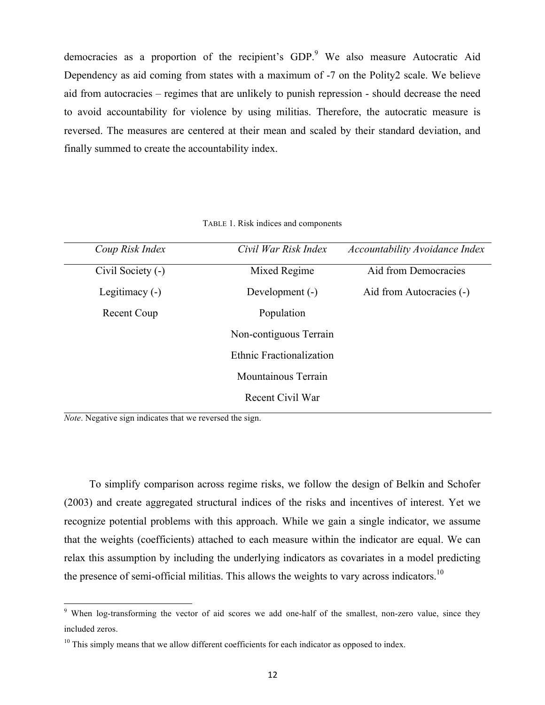democracies as a proportion of the recipient's GDP.<sup>9</sup> We also measure Autocratic Aid Dependency as aid coming from states with a maximum of -7 on the Polity2 scale. We believe aid from autocracies – regimes that are unlikely to punish repression - should decrease the need to avoid accountability for violence by using militias. Therefore, the autocratic measure is reversed. The measures are centered at their mean and scaled by their standard deviation, and finally summed to create the accountability index.

|  |  | TABLE 1. Risk indices and components |
|--|--|--------------------------------------|
|--|--|--------------------------------------|

| Coup Risk Index    | Civil War Risk Index     | <b>Accountability Avoidance Index</b> |
|--------------------|--------------------------|---------------------------------------|
| Civil Society (-)  | Mixed Regime             | Aid from Democracies                  |
| Legitimacy $(-)$   | Development (-)          | Aid from Autocracies (-)              |
| <b>Recent Coup</b> | Population               |                                       |
|                    | Non-contiguous Terrain   |                                       |
|                    | Ethnic Fractionalization |                                       |
|                    | Mountainous Terrain      |                                       |
|                    | Recent Civil War         |                                       |

*Note*. Negative sign indicates that we reversed the sign.

To simplify comparison across regime risks, we follow the design of Belkin and Schofer (2003) and create aggregated structural indices of the risks and incentives of interest. Yet we recognize potential problems with this approach. While we gain a single indicator, we assume that the weights (coefficients) attached to each measure within the indicator are equal. We can relax this assumption by including the underlying indicators as covariates in a model predicting the presence of semi-official militias. This allows the weights to vary across indicators.<sup>10</sup>

<sup>&</sup>lt;sup>9</sup> When log-transforming the vector of aid scores we add one-half of the smallest, non-zero value, since they included zeros.

 $10$  This simply means that we allow different coefficients for each indicator as opposed to index.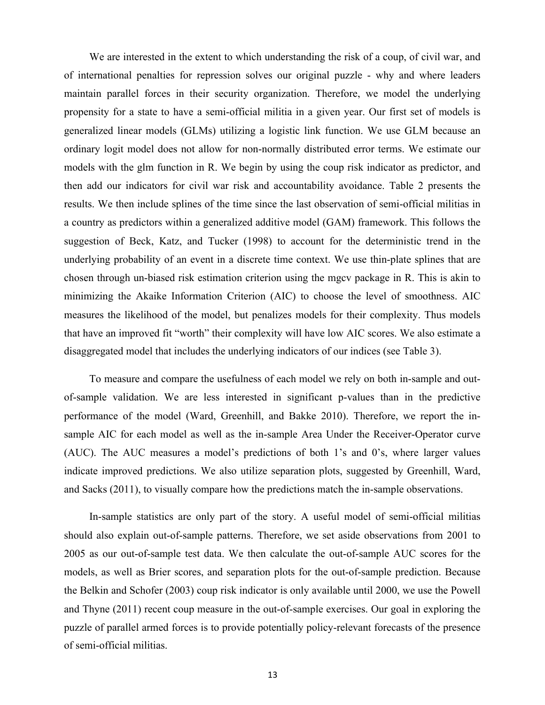We are interested in the extent to which understanding the risk of a coup, of civil war, and of international penalties for repression solves our original puzzle - why and where leaders maintain parallel forces in their security organization. Therefore, we model the underlying propensity for a state to have a semi-official militia in a given year. Our first set of models is generalized linear models (GLMs) utilizing a logistic link function. We use GLM because an ordinary logit model does not allow for non-normally distributed error terms. We estimate our models with the glm function in R. We begin by using the coup risk indicator as predictor, and then add our indicators for civil war risk and accountability avoidance. Table 2 presents the results. We then include splines of the time since the last observation of semi-official militias in a country as predictors within a generalized additive model (GAM) framework. This follows the suggestion of Beck, Katz, and Tucker (1998) to account for the deterministic trend in the underlying probability of an event in a discrete time context. We use thin-plate splines that are chosen through un-biased risk estimation criterion using the mgcv package in R. This is akin to minimizing the Akaike Information Criterion (AIC) to choose the level of smoothness. AIC measures the likelihood of the model, but penalizes models for their complexity. Thus models that have an improved fit "worth" their complexity will have low AIC scores. We also estimate a disaggregated model that includes the underlying indicators of our indices (see Table 3).

To measure and compare the usefulness of each model we rely on both in-sample and outof-sample validation. We are less interested in significant p-values than in the predictive performance of the model (Ward, Greenhill, and Bakke 2010). Therefore, we report the insample AIC for each model as well as the in-sample Area Under the Receiver-Operator curve (AUC). The AUC measures a model's predictions of both 1's and 0's, where larger values indicate improved predictions. We also utilize separation plots, suggested by Greenhill, Ward, and Sacks (2011), to visually compare how the predictions match the in-sample observations.

In-sample statistics are only part of the story. A useful model of semi-official militias should also explain out-of-sample patterns. Therefore, we set aside observations from 2001 to 2005 as our out-of-sample test data. We then calculate the out-of-sample AUC scores for the models, as well as Brier scores, and separation plots for the out-of-sample prediction. Because the Belkin and Schofer (2003) coup risk indicator is only available until 2000, we use the Powell and Thyne (2011) recent coup measure in the out-of-sample exercises. Our goal in exploring the puzzle of parallel armed forces is to provide potentially policy-relevant forecasts of the presence of semi-official militias.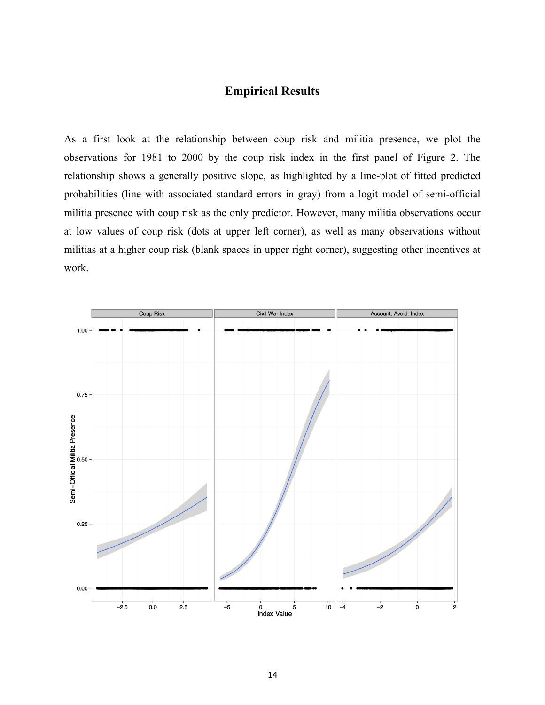## **Empirical Results**

As a first look at the relationship between coup risk and militia presence, we plot the observations for 1981 to 2000 by the coup risk index in the first panel of Figure 2. The relationship shows a generally positive slope, as highlighted by a line-plot of fitted predicted probabilities (line with associated standard errors in gray) from a logit model of semi-official militia presence with coup risk as the only predictor. However, many militia observations occur at low values of coup risk (dots at upper left corner), as well as many observations without militias at a higher coup risk (blank spaces in upper right corner), suggesting other incentives at work.

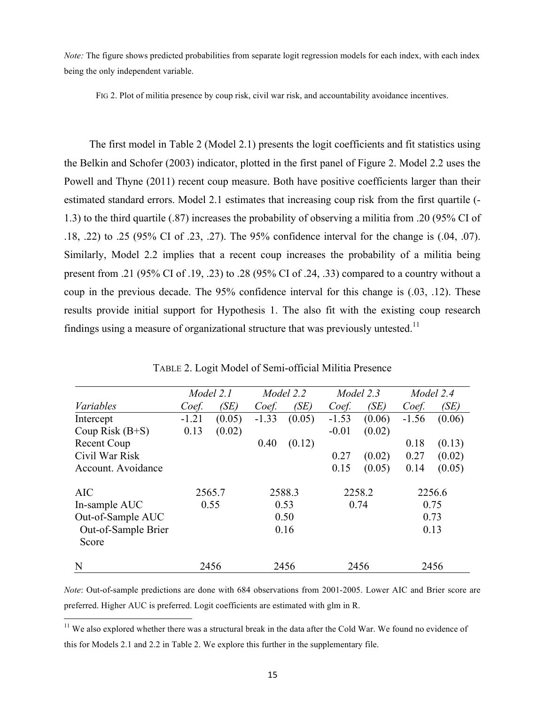*Note:* The figure shows predicted probabilities from separate logit regression models for each index, with each index being the only independent variable.

FIG 2. Plot of militia presence by coup risk, civil war risk, and accountability avoidance incentives.

The first model in Table 2 (Model 2.1) presents the logit coefficients and fit statistics using the Belkin and Schofer (2003) indicator, plotted in the first panel of Figure 2. Model 2.2 uses the Powell and Thyne (2011) recent coup measure. Both have positive coefficients larger than their estimated standard errors. Model 2.1 estimates that increasing coup risk from the first quartile (- 1.3) to the third quartile (.87) increases the probability of observing a militia from .20 (95% CI of .18, .22) to .25 (95% CI of .23, .27). The 95% confidence interval for the change is (.04, .07). Similarly, Model 2.2 implies that a recent coup increases the probability of a militia being present from .21 (95% CI of .19, .23) to .28 (95% CI of .24, .33) compared to a country without a coup in the previous decade. The 95% confidence interval for this change is (.03, .12). These results provide initial support for Hypothesis 1. The also fit with the existing coup research findings using a measure of organizational structure that was previously untested.<sup>11</sup>

|                     |         | Model 2.1 |         | Model 2.2 |         | Model 2.3 |         | Model 2.4 |
|---------------------|---------|-----------|---------|-----------|---------|-----------|---------|-----------|
|                     |         |           |         |           |         |           |         |           |
| <i>Variables</i>    | Coef.   | (SE)      | Coef.   | (SE)      | Coef.   | (SE)      | Coef.   | (SE)      |
| Intercept           | $-1.21$ | (0.05)    | $-1.33$ | (0.05)    | $-1.53$ | (0.06)    | $-1.56$ | (0.06)    |
| Coup Risk $(B+S)$   | 0.13    | (0.02)    |         |           | $-0.01$ | (0.02)    |         |           |
| <b>Recent Coup</b>  |         |           | 0.40    | (0.12)    |         |           | 0.18    | (0.13)    |
| Civil War Risk      |         |           |         |           | 0.27    | (0.02)    | 0.27    | (0.02)    |
| Account. Avoidance  |         |           |         |           | 0.15    | (0.05)    | 0.14    | (0.05)    |
| <b>AIC</b>          | 2565.7  |           | 2588.3  |           | 2258.2  |           | 2256.6  |           |
| In-sample AUC       |         | 0.55      |         | 0.53      |         | 0.74      |         | 0.75      |
| Out-of-Sample AUC   |         |           |         | 0.50      |         |           |         | 0.73      |
| Out-of-Sample Brier |         |           |         | 0.16      |         |           |         | 0.13      |
| Score               |         |           |         |           |         |           |         |           |
| N                   |         | 2456      |         | 2456      |         | 2456      |         | 2456      |

TABLE 2. Logit Model of Semi-official Militia Presence

*Note*: Out-of-sample predictions are done with 684 observations from 2001-2005. Lower AIC and Brier score are preferred. Higher AUC is preferred. Logit coefficients are estimated with glm in R.

<sup>&</sup>lt;sup>11</sup> We also explored whether there was a structural break in the data after the Cold War. We found no evidence of this for Models 2.1 and 2.2 in Table 2. We explore this further in the supplementary file.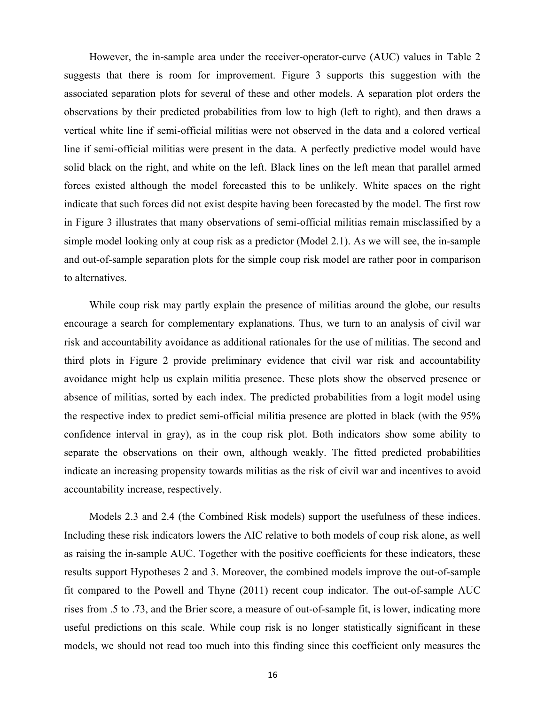However, the in-sample area under the receiver-operator-curve (AUC) values in Table 2 suggests that there is room for improvement. Figure 3 supports this suggestion with the associated separation plots for several of these and other models. A separation plot orders the observations by their predicted probabilities from low to high (left to right), and then draws a vertical white line if semi-official militias were not observed in the data and a colored vertical line if semi-official militias were present in the data. A perfectly predictive model would have solid black on the right, and white on the left. Black lines on the left mean that parallel armed forces existed although the model forecasted this to be unlikely. White spaces on the right indicate that such forces did not exist despite having been forecasted by the model. The first row in Figure 3 illustrates that many observations of semi-official militias remain misclassified by a simple model looking only at coup risk as a predictor (Model 2.1). As we will see, the in-sample and out-of-sample separation plots for the simple coup risk model are rather poor in comparison to alternatives.

While coup risk may partly explain the presence of militias around the globe, our results encourage a search for complementary explanations. Thus, we turn to an analysis of civil war risk and accountability avoidance as additional rationales for the use of militias. The second and third plots in Figure 2 provide preliminary evidence that civil war risk and accountability avoidance might help us explain militia presence. These plots show the observed presence or absence of militias, sorted by each index. The predicted probabilities from a logit model using the respective index to predict semi-official militia presence are plotted in black (with the 95% confidence interval in gray), as in the coup risk plot. Both indicators show some ability to separate the observations on their own, although weakly. The fitted predicted probabilities indicate an increasing propensity towards militias as the risk of civil war and incentives to avoid accountability increase, respectively.

Models 2.3 and 2.4 (the Combined Risk models) support the usefulness of these indices. Including these risk indicators lowers the AIC relative to both models of coup risk alone, as well as raising the in-sample AUC. Together with the positive coefficients for these indicators, these results support Hypotheses 2 and 3. Moreover, the combined models improve the out-of-sample fit compared to the Powell and Thyne (2011) recent coup indicator. The out-of-sample AUC rises from .5 to .73, and the Brier score, a measure of out-of-sample fit, is lower, indicating more useful predictions on this scale. While coup risk is no longer statistically significant in these models, we should not read too much into this finding since this coefficient only measures the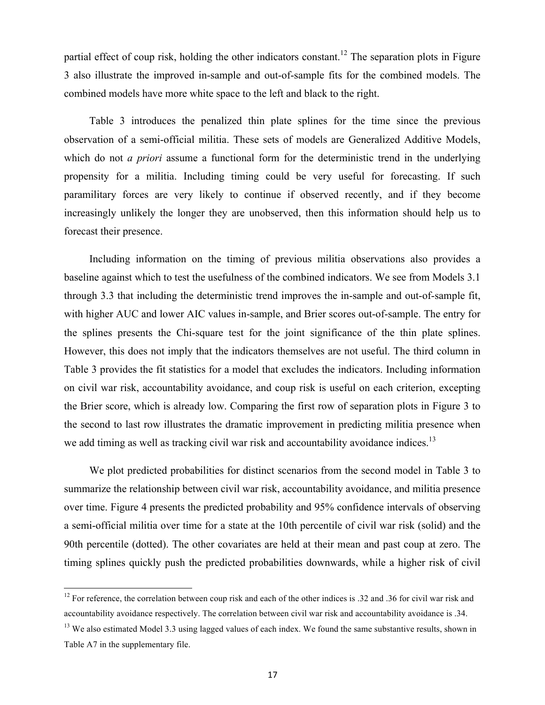partial effect of coup risk, holding the other indicators constant.<sup>12</sup> The separation plots in Figure 3 also illustrate the improved in-sample and out-of-sample fits for the combined models. The combined models have more white space to the left and black to the right.

Table 3 introduces the penalized thin plate splines for the time since the previous observation of a semi-official militia. These sets of models are Generalized Additive Models, which do not *a priori* assume a functional form for the deterministic trend in the underlying propensity for a militia. Including timing could be very useful for forecasting. If such paramilitary forces are very likely to continue if observed recently, and if they become increasingly unlikely the longer they are unobserved, then this information should help us to forecast their presence.

Including information on the timing of previous militia observations also provides a baseline against which to test the usefulness of the combined indicators. We see from Models 3.1 through 3.3 that including the deterministic trend improves the in-sample and out-of-sample fit, with higher AUC and lower AIC values in-sample, and Brier scores out-of-sample. The entry for the splines presents the Chi-square test for the joint significance of the thin plate splines. However, this does not imply that the indicators themselves are not useful. The third column in Table 3 provides the fit statistics for a model that excludes the indicators. Including information on civil war risk, accountability avoidance, and coup risk is useful on each criterion, excepting the Brier score, which is already low. Comparing the first row of separation plots in Figure 3 to the second to last row illustrates the dramatic improvement in predicting militia presence when we add timing as well as tracking civil war risk and accountability avoidance indices.<sup>13</sup>

We plot predicted probabilities for distinct scenarios from the second model in Table 3 to summarize the relationship between civil war risk, accountability avoidance, and militia presence over time. Figure 4 presents the predicted probability and 95% confidence intervals of observing a semi-official militia over time for a state at the 10th percentile of civil war risk (solid) and the 90th percentile (dotted). The other covariates are held at their mean and past coup at zero. The timing splines quickly push the predicted probabilities downwards, while a higher risk of civil

 $12$  For reference, the correlation between coup risk and each of the other indices is .32 and .36 for civil war risk and accountability avoidance respectively. The correlation between civil war risk and accountability avoidance is .34.

<sup>&</sup>lt;sup>13</sup> We also estimated Model 3.3 using lagged values of each index. We found the same substantive results, shown in Table A7 in the supplementary file.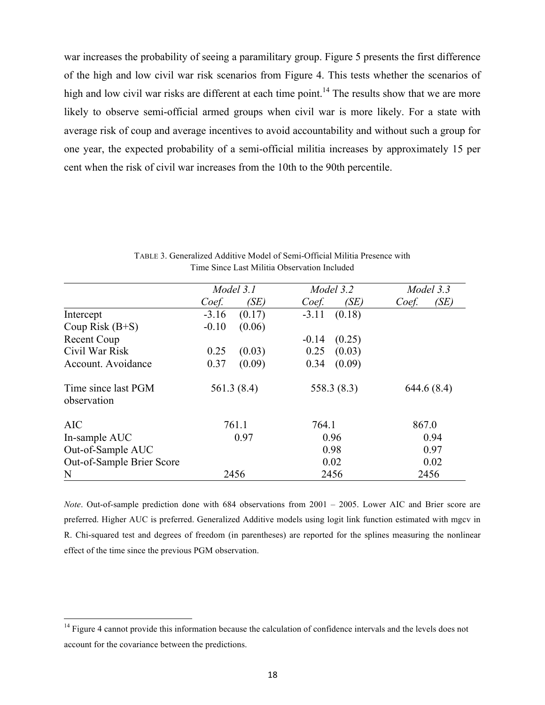war increases the probability of seeing a paramilitary group. Figure 5 presents the first difference of the high and low civil war risk scenarios from Figure 4. This tests whether the scenarios of high and low civil war risks are different at each time point.<sup>14</sup> The results show that we are more likely to observe semi-official armed groups when civil war is more likely. For a state with average risk of coup and average incentives to avoid accountability and without such a group for one year, the expected probability of a semi-official militia increases by approximately 15 per cent when the risk of civil war increases from the 10th to the 90th percentile.

|                                    | Model 3.1         | Model 3.2         | Model 3.3     |
|------------------------------------|-------------------|-------------------|---------------|
|                                    | (SE)<br>Coef.     | (SE)<br>Coef.     | (SE)<br>Coef. |
| Intercept                          | $-3.16$<br>(0.17) | $-3.11$<br>(0.18) |               |
| Coup Risk $(B+S)$                  | (0.06)<br>$-0.10$ |                   |               |
| <b>Recent Coup</b>                 |                   | (0.25)<br>$-0.14$ |               |
| Civil War Risk                     | 0.25<br>(0.03)    | 0.25<br>(0.03)    |               |
| Account. Avoidance                 | 0.37<br>(0.09)    | (0.09)<br>0.34    |               |
| Time since last PGM<br>observation | 561.3 (8.4)       | 558.3(8.3)        | 644.6(8.4)    |
| <b>AIC</b>                         | 761.1             | 764.1             | 867.0         |
| In-sample AUC                      | 0.97              | 0.96              | 0.94          |
| Out-of-Sample AUC                  |                   | 0.98              | 0.97          |
| Out-of-Sample Brier Score          |                   | 0.02              | 0.02          |
| N                                  | 2456              | 2456              | 2456          |

TABLE 3. Generalized Additive Model of Semi-Official Militia Presence with Time Since Last Militia Observation Included

*Note*. Out-of-sample prediction done with 684 observations from 2001 – 2005. Lower AIC and Brier score are preferred. Higher AUC is preferred. Generalized Additive models using logit link function estimated with mgcv in R. Chi-squared test and degrees of freedom (in parentheses) are reported for the splines measuring the nonlinear effect of the time since the previous PGM observation.

<sup>&</sup>lt;sup>14</sup> Figure 4 cannot provide this information because the calculation of confidence intervals and the levels does not account for the covariance between the predictions.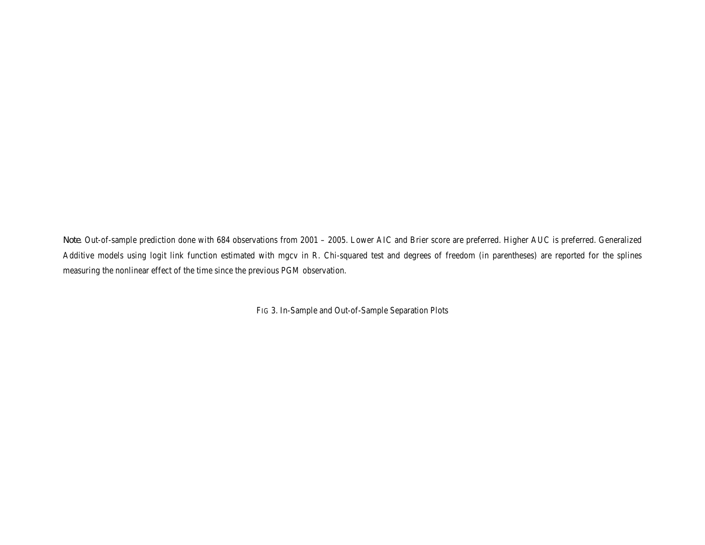*Note*. Out-of-sample prediction done with 684 observations from 2001 – 2005. Lower AIC and Brier score are preferred. Higher AUC is preferred. Generalized Additive models using logit link function estimated with mgcv in R. Chi-squared test and degrees of freedom (in parentheses) are reported for the splines measuring the nonlinear effect of the time since the previous PGM observation.

FIG 3. In-Sample and Out-of-Sample Separation Plots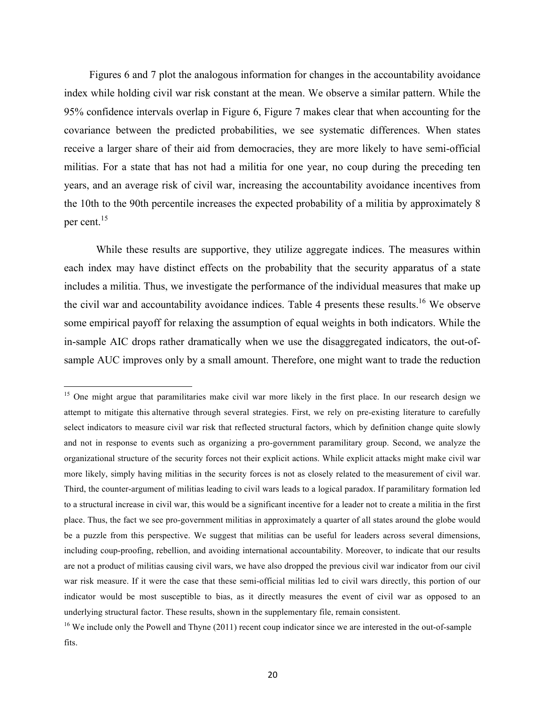Figures 6 and 7 plot the analogous information for changes in the accountability avoidance index while holding civil war risk constant at the mean. We observe a similar pattern. While the 95% confidence intervals overlap in Figure 6, Figure 7 makes clear that when accounting for the covariance between the predicted probabilities, we see systematic differences. When states receive a larger share of their aid from democracies, they are more likely to have semi-official militias. For a state that has not had a militia for one year, no coup during the preceding ten years, and an average risk of civil war, increasing the accountability avoidance incentives from the 10th to the 90th percentile increases the expected probability of a militia by approximately 8 per cent.15

While these results are supportive, they utilize aggregate indices. The measures within each index may have distinct effects on the probability that the security apparatus of a state includes a militia. Thus, we investigate the performance of the individual measures that make up the civil war and accountability avoidance indices. Table 4 presents these results.<sup>16</sup> We observe some empirical payoff for relaxing the assumption of equal weights in both indicators. While the in-sample AIC drops rather dramatically when we use the disaggregated indicators, the out-ofsample AUC improves only by a small amount. Therefore, one might want to trade the reduction

<sup>&</sup>lt;sup>15</sup> One might argue that paramilitaries make civil war more likely in the first place. In our research design we attempt to mitigate this alternative through several strategies. First, we rely on pre-existing literature to carefully select indicators to measure civil war risk that reflected structural factors, which by definition change quite slowly and not in response to events such as organizing a pro-government paramilitary group. Second, we analyze the organizational structure of the security forces not their explicit actions. While explicit attacks might make civil war more likely, simply having militias in the security forces is not as closely related to the measurement of civil war. Third, the counter-argument of militias leading to civil wars leads to a logical paradox. If paramilitary formation led to a structural increase in civil war, this would be a significant incentive for a leader not to create a militia in the first place. Thus, the fact we see pro-government militias in approximately a quarter of all states around the globe would be a puzzle from this perspective. We suggest that militias can be useful for leaders across several dimensions, including coup-proofing, rebellion, and avoiding international accountability. Moreover, to indicate that our results are not a product of militias causing civil wars, we have also dropped the previous civil war indicator from our civil war risk measure. If it were the case that these semi-official militias led to civil wars directly, this portion of our indicator would be most susceptible to bias, as it directly measures the event of civil war as opposed to an underlying structural factor. These results, shown in the supplementary file, remain consistent.

<sup>&</sup>lt;sup>16</sup> We include only the Powell and Thyne (2011) recent coup indicator since we are interested in the out-of-sample fits.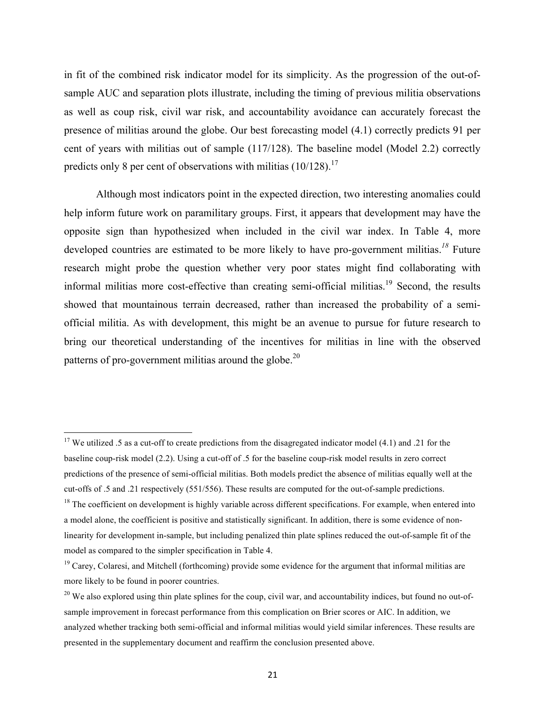in fit of the combined risk indicator model for its simplicity. As the progression of the out-ofsample AUC and separation plots illustrate, including the timing of previous militia observations as well as coup risk, civil war risk, and accountability avoidance can accurately forecast the presence of militias around the globe. Our best forecasting model (4.1) correctly predicts 91 per cent of years with militias out of sample (117/128). The baseline model (Model 2.2) correctly predicts only 8 per cent of observations with militias (10/128).<sup>17</sup>

Although most indicators point in the expected direction, two interesting anomalies could help inform future work on paramilitary groups. First, it appears that development may have the opposite sign than hypothesized when included in the civil war index. In Table 4, more developed countries are estimated to be more likely to have pro-government militias.*<sup>18</sup>* Future research might probe the question whether very poor states might find collaborating with informal militias more cost-effective than creating semi-official militias.<sup>19</sup> Second, the results showed that mountainous terrain decreased, rather than increased the probability of a semiofficial militia. As with development, this might be an avenue to pursue for future research to bring our theoretical understanding of the incentives for militias in line with the observed patterns of pro-government militias around the globe. $^{20}$ 

<sup>&</sup>lt;sup>17</sup> We utilized .5 as a cut-off to create predictions from the disagregated indicator model (4.1) and .21 for the baseline coup-risk model (2.2). Using a cut-off of .5 for the baseline coup-risk model results in zero correct predictions of the presence of semi-official militias. Both models predict the absence of militias equally well at the cut-offs of .5 and .21 respectively (551/556). These results are computed for the out-of-sample predictions.

<sup>&</sup>lt;sup>18</sup> The coefficient on development is highly variable across different specifications. For example, when entered into a model alone, the coefficient is positive and statistically significant. In addition, there is some evidence of nonlinearity for development in-sample, but including penalized thin plate splines reduced the out-of-sample fit of the model as compared to the simpler specification in Table 4.

 $19$  Carey, Colaresi, and Mitchell (forthcoming) provide some evidence for the argument that informal militias are more likely to be found in poorer countries.

 $20$  We also explored using thin plate splines for the coup, civil war, and accountability indices, but found no out-ofsample improvement in forecast performance from this complication on Brier scores or AIC. In addition, we analyzed whether tracking both semi-official and informal militias would yield similar inferences. These results are presented in the supplementary document and reaffirm the conclusion presented above.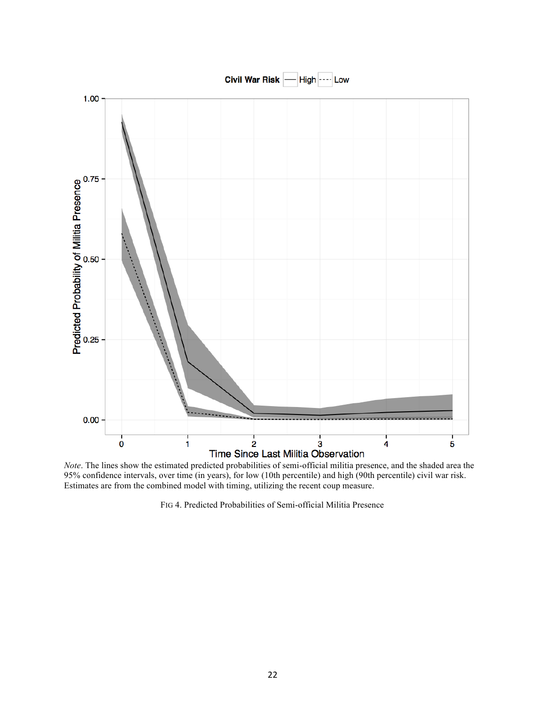

*Note*. The lines show the estimated predicted probabilities of semi-official militia presence, and the shaded area the 95% confidence intervals, over time (in years), for low (10th percentile) and high (90th percentile) civil war risk. Estimates are from the combined model with timing, utilizing the recent coup measure.

FIG 4. Predicted Probabilities of Semi-official Militia Presence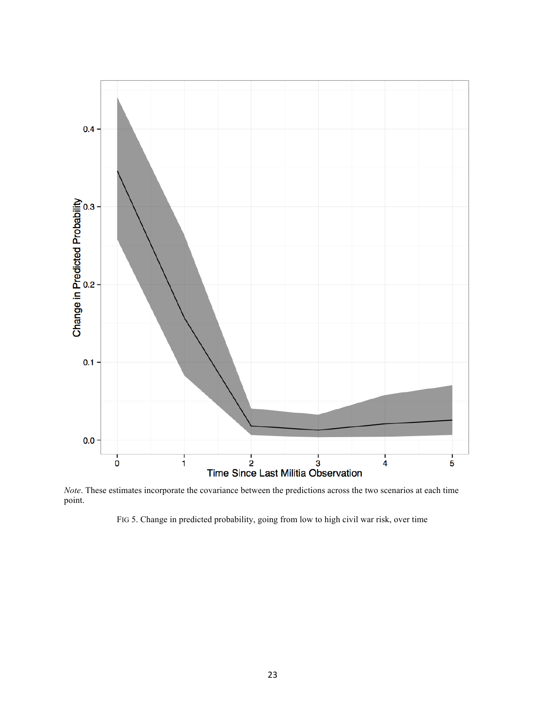

*Note*. These estimates incorporate the covariance between the predictions across the two scenarios at each time point.

FIG 5. Change in predicted probability, going from low to high civil war risk, over time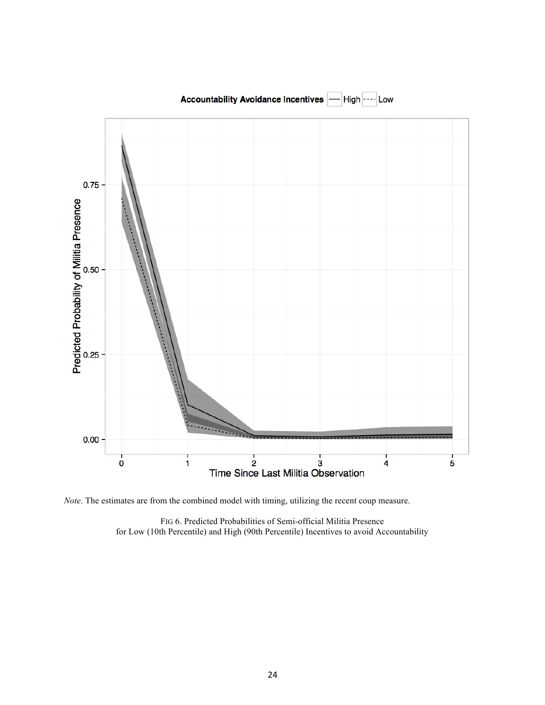

*Note*. The estimates are from the combined model with timing, utilizing the recent coup measure.

FIG 6. Predicted Probabilities of Semi-official Militia Presence for Low (10th Percentile) and High (90th Percentile) Incentives to avoid Accountability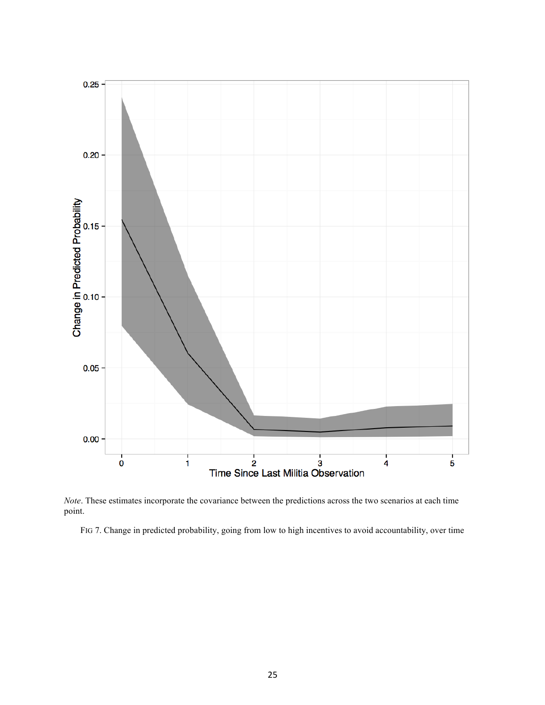

*Note*. These estimates incorporate the covariance between the predictions across the two scenarios at each time point.

FIG 7. Change in predicted probability, going from low to high incentives to avoid accountability, over time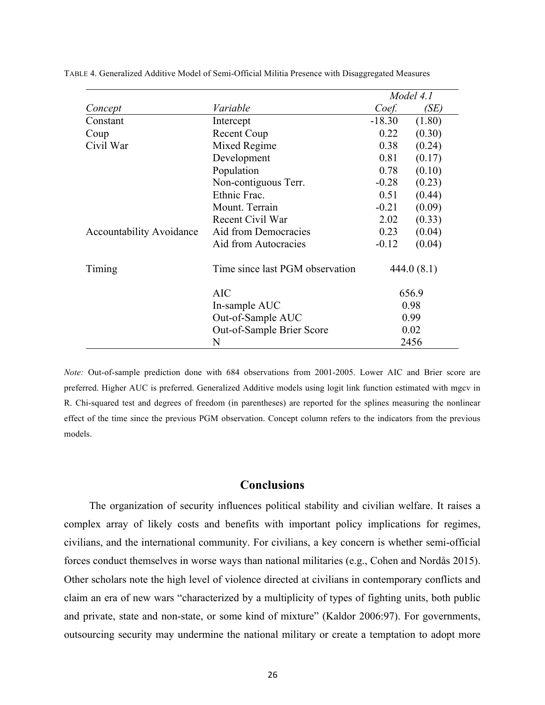|                                 |                                 | Model 4.1  |        |  |
|---------------------------------|---------------------------------|------------|--------|--|
| Concept                         | Variable                        | Coef.      | (SE)   |  |
| Constant                        | Intercept                       | $-18.30$   | (1.80) |  |
| Coup                            | <b>Recent Coup</b>              | 0.22       | (0.30) |  |
| Civil War                       | Mixed Regime                    | 0.38       | (0.24) |  |
|                                 | Development                     | 0.81       | (0.17) |  |
|                                 | Population                      | 0.78       | (0.10) |  |
|                                 | Non-contiguous Terr.            | $-0.28$    | (0.23) |  |
|                                 | Ethnic Frac.                    | 0.51       | (0.44) |  |
|                                 | Mount. Terrain                  | $-0.21$    | (0.09) |  |
|                                 | Recent Civil War                | 2.02       | (0.33) |  |
| <b>Accountability Avoidance</b> | Aid from Democracies            | 0.23       | (0.04) |  |
|                                 | Aid from Autocracies            | $-0.12$    | (0.04) |  |
| Timing                          | Time since last PGM observation | 444.0(8.1) |        |  |
|                                 | <b>AIC</b>                      | 656.9      |        |  |
|                                 | In-sample AUC                   | 0.98       |        |  |
|                                 | Out-of-Sample AUC               | 0.99       |        |  |
|                                 | Out-of-Sample Brier Score       | 0.02       |        |  |
|                                 | N                               | 2456       |        |  |

TABLE 4. Generalized Additive Model of Semi-Official Militia Presence with Disaggregated Measures

*Note:* Out-of-sample prediction done with 684 observations from 2001-2005. Lower AIC and Brier score are preferred. Higher AUC is preferred. Generalized Additive models using logit link function estimated with mgcv in R. Chi-squared test and degrees of freedom (in parentheses) are reported for the splines measuring the nonlinear effect of the time since the previous PGM observation. Concept column refers to the indicators from the previous models.

#### **Conclusions**

The organization of security influences political stability and civilian welfare. It raises a complex array of likely costs and benefits with important policy implications for regimes, civilians, and the international community. For civilians, a key concern is whether semi-official forces conduct themselves in worse ways than national militaries (e.g., Cohen and Nordås 2015). Other scholars note the high level of violence directed at civilians in contemporary conflicts and claim an era of new wars "characterized by a multiplicity of types of fighting units, both public and private, state and non-state, or some kind of mixture" (Kaldor 2006:97). For governments, outsourcing security may undermine the national military or create a temptation to adopt more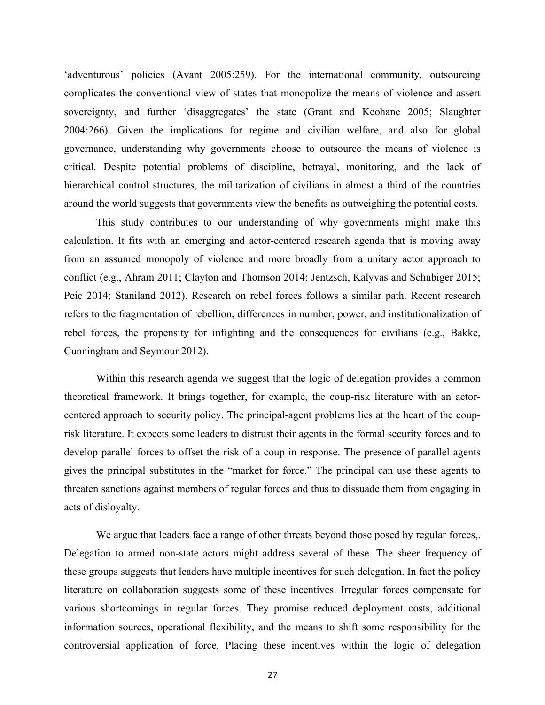'adventurous' policies (Avant 2005:259). For the international community, outsourcing complicates the conventional view of states that monopolize the means of violence and assert sovereignty, and further 'disaggregates' the state (Grant and Keohane 2005; Slaughter 2004:266). Given the implications for regime and civilian welfare, and also for global governance, understanding why governments choose to outsource the means of violence is critical. Despite potential problems of discipline, betrayal, monitoring, and the lack of hierarchical control structures, the militarization of civilians in almost a third of the countries around the world suggests that governments view the benefits as outweighing the potential costs.

This study contributes to our understanding of why governments might make this calculation. It fits with an emerging and actor-centered research agenda that is moving away from an assumed monopoly of violence and more broadly from a unitary actor approach to conflict (e.g., Ahram 2011; Clayton and Thomson 2014; Jentzsch, Kalyvas and Schubiger 2015; Peic 2014; Staniland 2012). Research on rebel forces follows a similar path. Recent research refers to the fragmentation of rebellion, differences in number, power, and institutionalization of rebel forces, the propensity for infighting and the consequences for civilians (e.g., Bakke, Cunningham and Seymour 2012).

Within this research agenda we suggest that the logic of delegation provides a common theoretical framework. It brings together, for example, the coup-risk literature with an actorcentered approach to security policy. The principal-agent problems lies at the heart of the couprisk literature. It expects some leaders to distrust their agents in the formal security forces and to develop parallel forces to offset the risk of a coup in response. The presence of parallel agents gives the principal substitutes in the "market for force." The principal can use these agents to threaten sanctions against members of regular forces and thus to dissuade them from engaging in acts of disloyalty.

We argue that leaders face a range of other threats beyond those posed by regular forces,. Delegation to armed non-state actors might address several of these. The sheer frequency of these groups suggests that leaders have multiple incentives for such delegation. In fact the policy literature on collaboration suggests some of these incentives. Irregular forces compensate for various shortcomings in regular forces. They promise reduced deployment costs, additional information sources, operational flexibility, and the means to shift some responsibility for the controversial application of force. Placing these incentives within the logic of delegation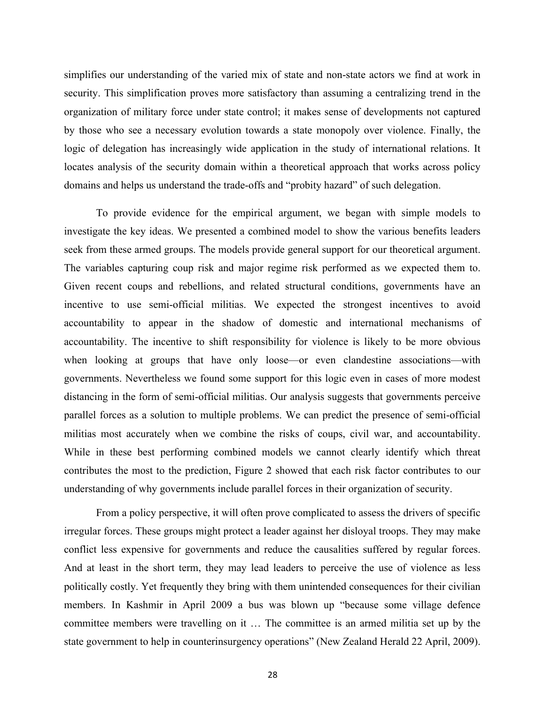simplifies our understanding of the varied mix of state and non-state actors we find at work in security. This simplification proves more satisfactory than assuming a centralizing trend in the organization of military force under state control; it makes sense of developments not captured by those who see a necessary evolution towards a state monopoly over violence. Finally, the logic of delegation has increasingly wide application in the study of international relations. It locates analysis of the security domain within a theoretical approach that works across policy domains and helps us understand the trade-offs and "probity hazard" of such delegation.

To provide evidence for the empirical argument, we began with simple models to investigate the key ideas. We presented a combined model to show the various benefits leaders seek from these armed groups. The models provide general support for our theoretical argument. The variables capturing coup risk and major regime risk performed as we expected them to. Given recent coups and rebellions, and related structural conditions, governments have an incentive to use semi-official militias. We expected the strongest incentives to avoid accountability to appear in the shadow of domestic and international mechanisms of accountability. The incentive to shift responsibility for violence is likely to be more obvious when looking at groups that have only loose—or even clandestine associations—with governments. Nevertheless we found some support for this logic even in cases of more modest distancing in the form of semi-official militias. Our analysis suggests that governments perceive parallel forces as a solution to multiple problems. We can predict the presence of semi-official militias most accurately when we combine the risks of coups, civil war, and accountability. While in these best performing combined models we cannot clearly identify which threat contributes the most to the prediction, Figure 2 showed that each risk factor contributes to our understanding of why governments include parallel forces in their organization of security.

From a policy perspective, it will often prove complicated to assess the drivers of specific irregular forces. These groups might protect a leader against her disloyal troops. They may make conflict less expensive for governments and reduce the causalities suffered by regular forces. And at least in the short term, they may lead leaders to perceive the use of violence as less politically costly. Yet frequently they bring with them unintended consequences for their civilian members. In Kashmir in April 2009 a bus was blown up "because some village defence committee members were travelling on it … The committee is an armed militia set up by the state government to help in counterinsurgency operations" (New Zealand Herald 22 April, 2009).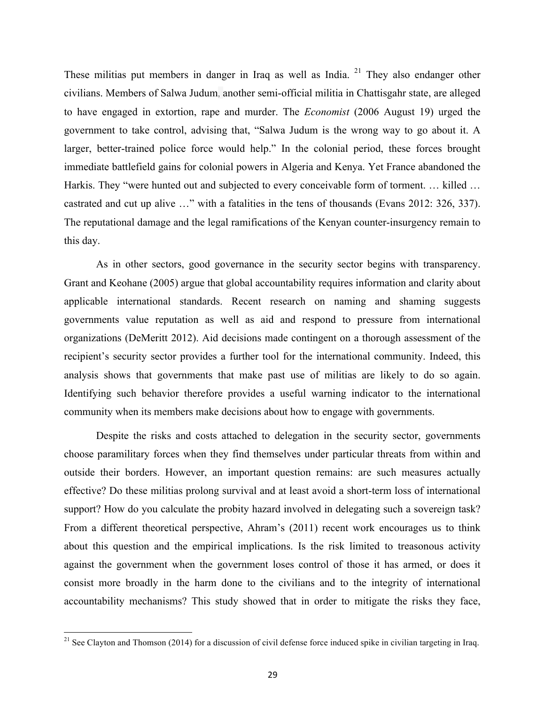These militias put members in danger in Iraq as well as India.  $2<sup>1</sup>$  They also endanger other civilians. Members of Salwa Judum, another semi-official militia in Chattisgahr state, are alleged to have engaged in extortion, rape and murder. The *Economist* (2006 August 19) urged the government to take control, advising that, "Salwa Judum is the wrong way to go about it. A larger, better-trained police force would help." In the colonial period, these forces brought immediate battlefield gains for colonial powers in Algeria and Kenya. Yet France abandoned the Harkis. They "were hunted out and subjected to every conceivable form of torment. … killed … castrated and cut up alive …" with a fatalities in the tens of thousands (Evans 2012: 326, 337). The reputational damage and the legal ramifications of the Kenyan counter-insurgency remain to this day.

As in other sectors, good governance in the security sector begins with transparency. Grant and Keohane (2005) argue that global accountability requires information and clarity about applicable international standards. Recent research on naming and shaming suggests governments value reputation as well as aid and respond to pressure from international organizations (DeMeritt 2012). Aid decisions made contingent on a thorough assessment of the recipient's security sector provides a further tool for the international community. Indeed, this analysis shows that governments that make past use of militias are likely to do so again. Identifying such behavior therefore provides a useful warning indicator to the international community when its members make decisions about how to engage with governments.

Despite the risks and costs attached to delegation in the security sector, governments choose paramilitary forces when they find themselves under particular threats from within and outside their borders. However, an important question remains: are such measures actually effective? Do these militias prolong survival and at least avoid a short-term loss of international support? How do you calculate the probity hazard involved in delegating such a sovereign task? From a different theoretical perspective, Ahram's (2011) recent work encourages us to think about this question and the empirical implications. Is the risk limited to treasonous activity against the government when the government loses control of those it has armed, or does it consist more broadly in the harm done to the civilians and to the integrity of international accountability mechanisms? This study showed that in order to mitigate the risks they face,

 $21$  See Clayton and Thomson (2014) for a discussion of civil defense force induced spike in civilian targeting in Iraq.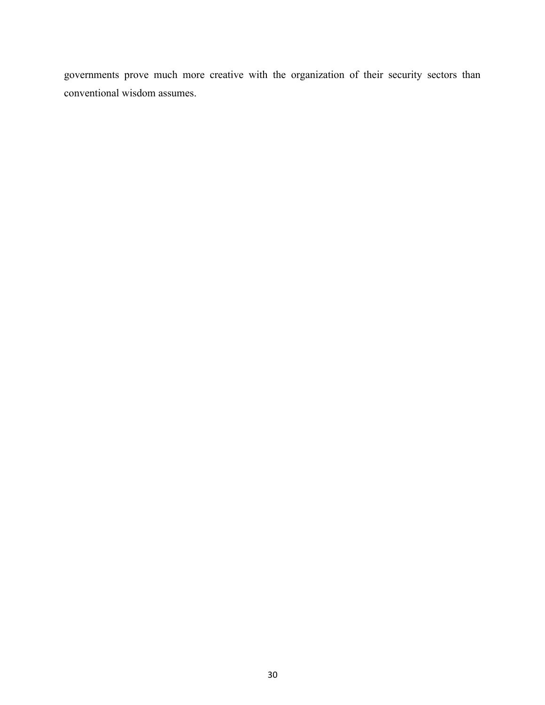governments prove much more creative with the organization of their security sectors than conventional wisdom assumes.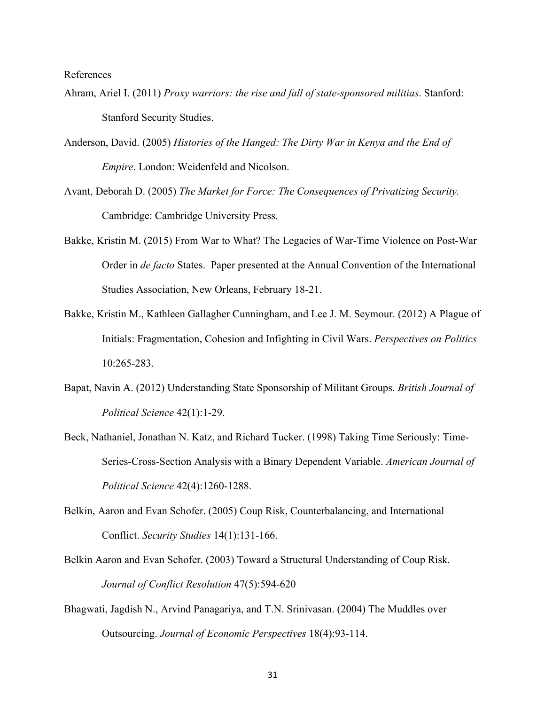References

- Ahram, Ariel I. (2011) *Proxy warriors: the rise and fall of state-sponsored militias*. Stanford: Stanford Security Studies.
- Anderson, David. (2005) *Histories of the Hanged: The Dirty War in Kenya and the End of Empire*. London: Weidenfeld and Nicolson.
- Avant, Deborah D. (2005) *The Market for Force: The Consequences of Privatizing Security.*  Cambridge: Cambridge University Press.
- Bakke, Kristin M. (2015) From War to What? The Legacies of War-Time Violence on Post-War Order in *de facto* States. Paper presented at the Annual Convention of the International Studies Association, New Orleans, February 18-21.
- Bakke, Kristin M., Kathleen Gallagher Cunningham, and Lee J. M. Seymour. (2012) A Plague of Initials: Fragmentation, Cohesion and Infighting in Civil Wars. *Perspectives on Politics* 10:265-283.
- Bapat, Navin A. (2012) Understanding State Sponsorship of Militant Groups. *British Journal of Political Science* 42(1):1-29.
- Beck, Nathaniel, Jonathan N. Katz, and Richard Tucker. (1998) Taking Time Seriously: Time-Series-Cross-Section Analysis with a Binary Dependent Variable. *American Journal of Political Science* 42(4):1260-1288.
- Belkin, Aaron and Evan Schofer. (2005) Coup Risk, Counterbalancing, and International Conflict. *Security Studies* 14(1):131-166.
- Belkin Aaron and Evan Schofer. (2003) Toward a Structural Understanding of Coup Risk. *Journal of Conflict Resolution* 47(5):594-620
- Bhagwati, Jagdish N., Arvind Panagariya, and T.N. Srinivasan. (2004) The Muddles over Outsourcing. *Journal of Economic Perspectives* 18(4):93-114.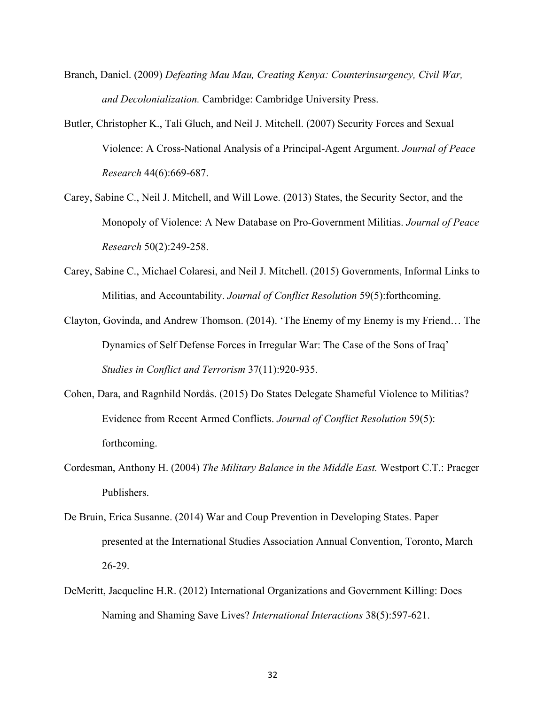- Branch, Daniel. (2009) *Defeating Mau Mau, Creating Kenya: Counterinsurgency, Civil War, and Decolonialization.* Cambridge: Cambridge University Press.
- Butler, Christopher K., Tali Gluch, and Neil J. Mitchell. (2007) Security Forces and Sexual Violence: A Cross-National Analysis of a Principal-Agent Argument. *Journal of Peace Research* 44(6):669-687.
- Carey, Sabine C., Neil J. Mitchell, and Will Lowe. (2013) States, the Security Sector, and the Monopoly of Violence: A New Database on Pro-Government Militias. *Journal of Peace Research* 50(2):249-258.
- Carey, Sabine C., Michael Colaresi, and Neil J. Mitchell. (2015) Governments, Informal Links to Militias, and Accountability. *Journal of Conflict Resolution* 59(5):forthcoming.
- Clayton, Govinda, and Andrew Thomson. (2014). 'The Enemy of my Enemy is my Friend… The Dynamics of Self Defense Forces in Irregular War: The Case of the Sons of Iraq' *Studies in Conflict and Terrorism* 37(11):920-935.
- Cohen, Dara, and Ragnhild Nordås. (2015) Do States Delegate Shameful Violence to Militias? Evidence from Recent Armed Conflicts. *Journal of Conflict Resolution* 59(5): forthcoming.
- Cordesman, Anthony H. (2004) *The Military Balance in the Middle East.* Westport C.T.: Praeger Publishers.
- De Bruin, Erica Susanne. (2014) War and Coup Prevention in Developing States. Paper presented at the International Studies Association Annual Convention, Toronto, March 26-29.
- DeMeritt, Jacqueline H.R. (2012) International Organizations and Government Killing: Does Naming and Shaming Save Lives? *International Interactions* 38(5):597-621.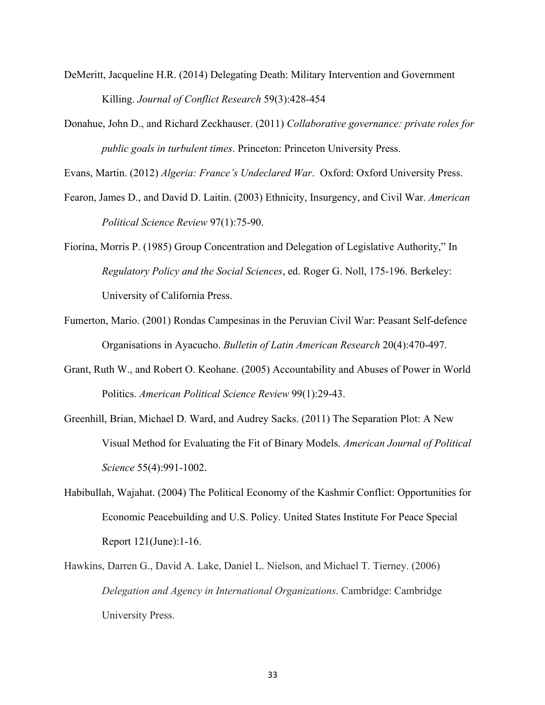- DeMeritt, Jacqueline H.R. (2014) Delegating Death: Military Intervention and Government Killing. *Journal of Conflict Research* 59(3):428-454
- Donahue, John D., and Richard Zeckhauser. (2011) *Collaborative governance: private roles for public goals in turbulent times*. Princeton: Princeton University Press.

Evans, Martin. (2012) *Algeria: France's Undeclared War*. Oxford: Oxford University Press.

- Fearon, James D., and David D. Laitin. (2003) Ethnicity, Insurgency, and Civil War. *American Political Science Review* 97(1):75-90.
- Fiorina, Morris P. (1985) Group Concentration and Delegation of Legislative Authority," In *Regulatory Policy and the Social Sciences*, ed. Roger G. Noll, 175-196. Berkeley: University of California Press.
- Fumerton, Mario. (2001) Rondas Campesinas in the Peruvian Civil War: Peasant Self-defence Organisations in Ayacucho. *Bulletin of Latin American Research* 20(4):470-497.
- Grant, Ruth W., and Robert O. Keohane. (2005) Accountability and Abuses of Power in World Politics. *American Political Science Review* 99(1):29-43.
- Greenhill, Brian, Michael D. Ward, and Audrey Sacks. (2011) The Separation Plot: A New Visual Method for Evaluating the Fit of Binary Models. *American Journal of Political Science* 55(4):991-1002.
- Habibullah, Wajahat. (2004) The Political Economy of the Kashmir Conflict: Opportunities for Economic Peacebuilding and U.S. Policy. United States Institute For Peace Special Report 121(June):1-16.
- Hawkins, Darren G., David A. Lake, Daniel L. Nielson, and Michael T. Tierney. (2006) *Delegation and Agency in International Organizations*. Cambridge: Cambridge University Press.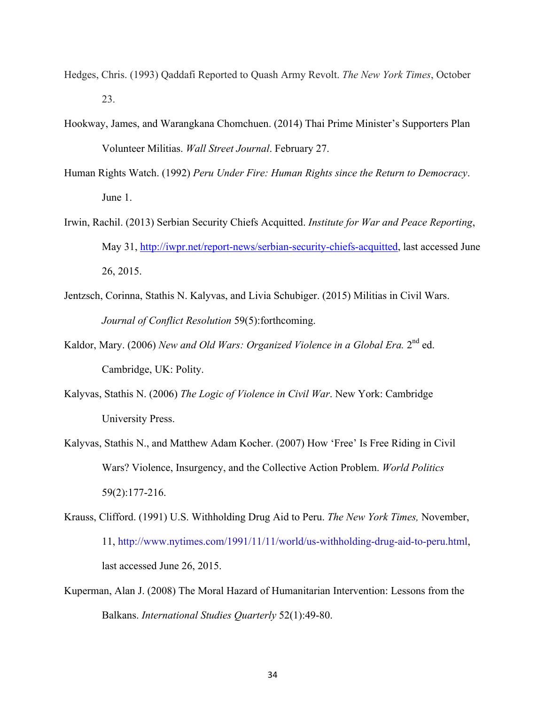- Hedges, Chris. (1993) Qaddafi Reported to Quash Army Revolt. *The New York Times*, October 23.
- Hookway, James, and Warangkana Chomchuen. (2014) Thai Prime Minister's Supporters Plan Volunteer Militias. *Wall Street Journal*. February 27.
- Human Rights Watch. (1992) *Peru Under Fire: Human Rights since the Return to Democracy*. June 1.
- Irwin, Rachil. (2013) Serbian Security Chiefs Acquitted. *Institute for War and Peace Reporting*, May 31, http://iwpr.net/report-news/serbian-security-chiefs-acquitted, last accessed June 26, 2015.
- Jentzsch, Corinna, Stathis N. Kalyvas, and Livia Schubiger. (2015) Militias in Civil Wars. *Journal of Conflict Resolution* 59(5):forthcoming.
- Kaldor, Mary. (2006) *New and Old Wars: Organized Violence in a Global Era.* 2<sup>nd</sup> ed. Cambridge, UK: Polity.
- Kalyvas, Stathis N. (2006) *The Logic of Violence in Civil War*. New York: Cambridge University Press.
- Kalyvas, Stathis N., and Matthew Adam Kocher. (2007) How 'Free' Is Free Riding in Civil Wars? Violence, Insurgency, and the Collective Action Problem. *World Politics* 59(2):177-216.
- Krauss, Clifford. (1991) U.S. Withholding Drug Aid to Peru. *The New York Times,* November, 11, http://www.nytimes.com/1991/11/11/world/us-withholding-drug-aid-to-peru.html, last accessed June 26, 2015.
- Kuperman, Alan J. (2008) The Moral Hazard of Humanitarian Intervention: Lessons from the Balkans. *International Studies Quarterly* 52(1):49-80.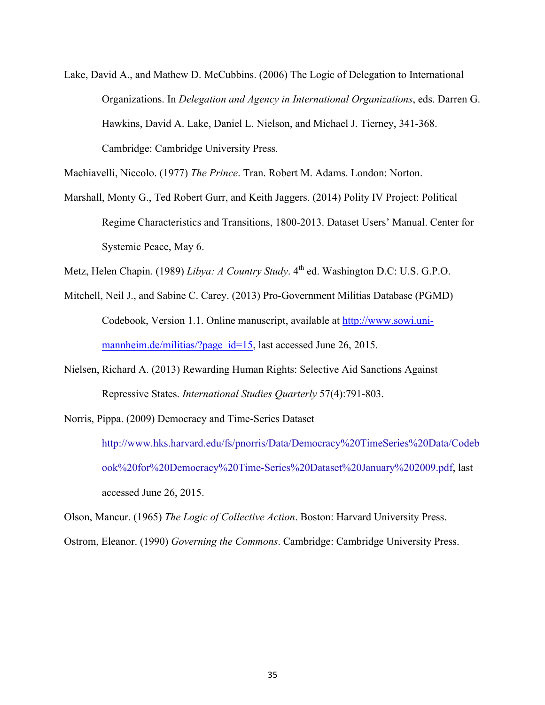Lake, David A., and Mathew D. McCubbins. (2006) The Logic of Delegation to International Organizations. In *Delegation and Agency in International Organizations*, eds. Darren G. Hawkins, David A. Lake, Daniel L. Nielson, and Michael J. Tierney, 341-368. Cambridge: Cambridge University Press.

Machiavelli, Niccolo. (1977) *The Prince*. Tran. Robert M. Adams. London: Norton.

Marshall, Monty G., Ted Robert Gurr, and Keith Jaggers. (2014) Polity IV Project: Political Regime Characteristics and Transitions, 1800-2013. Dataset Users' Manual. Center for Systemic Peace, May 6.

Metz, Helen Chapin. (1989) *Libya: A Country Study*. 4<sup>th</sup> ed. Washington D.C: U.S. G.P.O.

- Mitchell, Neil J., and Sabine C. Carey. (2013) Pro-Government Militias Database (PGMD) Codebook, Version 1.1. Online manuscript, available at http://www.sowi.unimannheim.de/militias/?page\_id=15, last accessed June 26, 2015.
- Nielsen, Richard A. (2013) Rewarding Human Rights: Selective Aid Sanctions Against Repressive States. *International Studies Quarterly* 57(4):791-803.

Norris, Pippa. (2009) Democracy and Time-Series Dataset

http://www.hks.harvard.edu/fs/pnorris/Data/Democracy%20TimeSeries%20Data/Codeb ook%20for%20Democracy%20Time-Series%20Dataset%20January%202009.pdf, last accessed June 26, 2015.

Olson, Mancur. (1965) *The Logic of Collective Action*. Boston: Harvard University Press. Ostrom, Eleanor. (1990) *Governing the Commons*. Cambridge: Cambridge University Press.